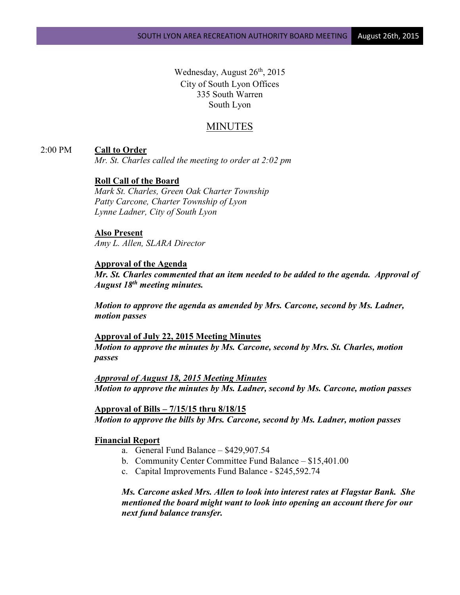Wednesday, August  $26<sup>th</sup>$ , 2015 City of South Lyon Offices 335 South Warren South Lyon

# MINUTES

## 2:00 PM **Call to Order**

*Mr. St. Charles called the meeting to order at 2:02 pm*

## **Roll Call of the Board**

*Mark St. Charles, Green Oak Charter Township Patty Carcone, Charter Township of Lyon Lynne Ladner, City of South Lyon* 

### **Also Present**

*Amy L. Allen, SLARA Director*

### **Approval of the Agenda**

*Mr. St. Charles commented that an item needed to be added to the agenda. Approval of August 18th meeting minutes.*

*Motion to approve the agenda as amended by Mrs. Carcone, second by Ms. Ladner, motion passes*

**Approval of July 22, 2015 Meeting Minutes** *Motion to approve the minutes by Ms. Carcone, second by Mrs. St. Charles, motion passes*

*Approval of August 18, 2015 Meeting Minutes Motion to approve the minutes by Ms. Ladner, second by Ms. Carcone, motion passes*

**Approval of Bills – 7/15/15 thru 8/18/15** *Motion to approve the bills by Mrs. Carcone, second by Ms. Ladner, motion passes*

#### **Financial Report**

- a. General Fund Balance \$429,907.54
- b. Community Center Committee Fund Balance \$15,401.00
- c. Capital Improvements Fund Balance \$245,592.74

*Ms. Carcone asked Mrs. Allen to look into interest rates at Flagstar Bank. She mentioned the board might want to look into opening an account there for our next fund balance transfer.*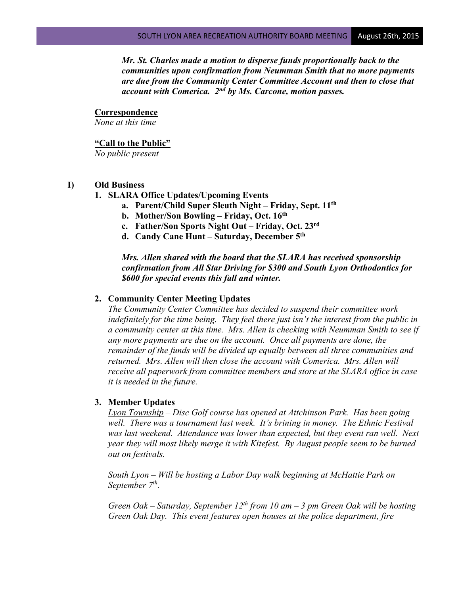*Mr. St. Charles made a motion to disperse funds proportionally back to the communities upon confirmation from Neumman Smith that no more payments are due from the Community Center Committee Account and then to close that account with Comerica. 2nd by Ms. Carcone, motion passes.*

### **Correspondence**

*None at this time*

### **"Call to the Public"**

*No public present*

#### **I) Old Business**

- **1. SLARA Office Updates/Upcoming Events**
	- **a. Parent/Child Super Sleuth Night – Friday, Sept. 11th**
	- **b. Mother/Son Bowling – Friday, Oct. 16th**
	- **c. Father/Son Sports Night Out – Friday, Oct. 23rd**
	- **d. Candy Cane Hunt – Saturday, December 5th**

*Mrs. Allen shared with the board that the SLARA has received sponsorship confirmation from All Star Driving for \$300 and South Lyon Orthodontics for \$600 for special events this fall and winter.*

## **2. Community Center Meeting Updates**

*The Community Center Committee has decided to suspend their committee work indefinitely for the time being. They feel there just isn't the interest from the public in a community center at this time. Mrs. Allen is checking with Neumman Smith to see if any more payments are due on the account. Once all payments are done, the remainder of the funds will be divided up equally between all three communities and returned. Mrs. Allen will then close the account with Comerica. Mrs. Allen will receive all paperwork from committee members and store at the SLARA office in case it is needed in the future.*

#### **3. Member Updates**

*Lyon Township – Disc Golf course has opened at Attchinson Park. Has been going*  well. There was a tournament last week. It's brining in money. The Ethnic Festival was last weekend. Attendance was lower than expected, but they event ran well. Next *year they will most likely merge it with Kitefest. By August people seem to be burned out on festivals.*

*South Lyon – Will be hosting a Labor Day walk beginning at McHattie Park on September 7th.*

*Green Oak – Saturday, September 12th from 10 am – 3 pm Green Oak will be hosting Green Oak Day. This event features open houses at the police department, fire*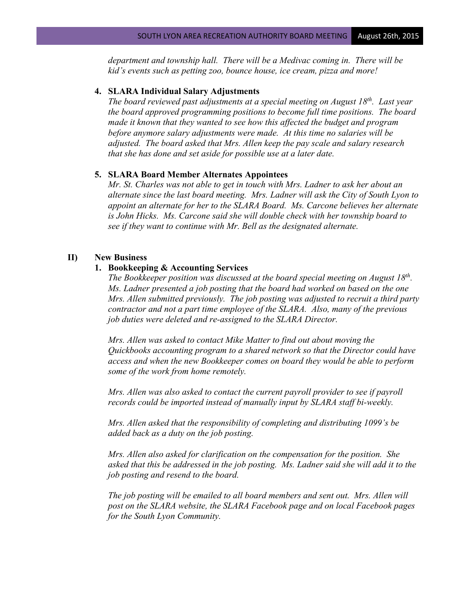*department and township hall. There will be a Medivac coming in. There will be kid's events such as petting zoo, bounce house, ice cream, pizza and more!*

## **4. SLARA Individual Salary Adjustments**

*The board reviewed past adjustments at a special meeting on August 18th. Last year the board approved programming positions to become full time positions. The board made it known that they wanted to see how this affected the budget and program before anymore salary adjustments were made. At this time no salaries will be adjusted. The board asked that Mrs. Allen keep the pay scale and salary research that she has done and set aside for possible use at a later date.*

## **5. SLARA Board Member Alternates Appointees**

*Mr. St. Charles was not able to get in touch with Mrs. Ladner to ask her about an alternate since the last board meeting. Mrs. Ladner will ask the City of South Lyon to appoint an alternate for her to the SLARA Board. Ms. Carcone believes her alternate is John Hicks. Ms. Carcone said she will double check with her township board to see if they want to continue with Mr. Bell as the designated alternate.*

### **II) New Business**

#### **1. Bookkeeping & Accounting Services**

*The Bookkeeper position was discussed at the board special meeting on August 18th. Ms. Ladner presented a job posting that the board had worked on based on the one Mrs. Allen submitted previously. The job posting was adjusted to recruit a third party contractor and not a part time employee of the SLARA. Also, many of the previous job duties were deleted and re-assigned to the SLARA Director.* 

*Mrs. Allen was asked to contact Mike Matter to find out about moving the Quickbooks accounting program to a shared network so that the Director could have access and when the new Bookkeeper comes on board they would be able to perform some of the work from home remotely.*

*Mrs. Allen was also asked to contact the current payroll provider to see if payroll records could be imported instead of manually input by SLARA staff bi-weekly.*

*Mrs. Allen asked that the responsibility of completing and distributing 1099's be added back as a duty on the job posting.*

*Mrs. Allen also asked for clarification on the compensation for the position. She asked that this be addressed in the job posting. Ms. Ladner said she will add it to the job posting and resend to the board.*

*The job posting will be emailed to all board members and sent out. Mrs. Allen will post on the SLARA website, the SLARA Facebook page and on local Facebook pages for the South Lyon Community.*